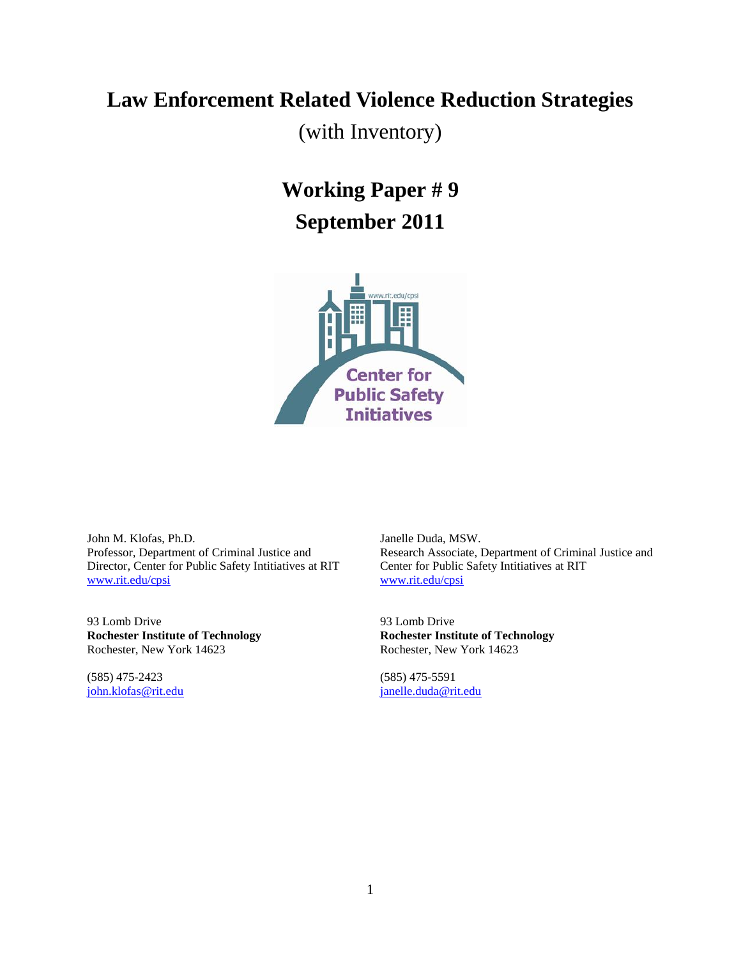# **Law Enforcement Related Violence Reduction Strategies**

(with Inventory)

# **Working Paper # 9 September 2011**



John M. Klofas, Ph.D. Professor, Department of Criminal Justice and Director, Center for Public Safety Intitiatives at RIT [www.rit.edu/cpsi](http://www.rit.edu/cpsi)

93 Lomb Drive **Rochester Institute of Technology** Rochester, New York 14623

(585) 475-2423 [john.klofas@rit.edu](mailto:john.klofas@rit.edu) Janelle Duda, MSW. Research Associate, Department of Criminal Justice and Center for Public Safety Intitiatives at RIT [www.rit.edu/cpsi](http://www.rit.edu/cpsi)

93 Lomb Drive **Rochester Institute of Technology** Rochester, New York 14623

(585) 475-5591 [janelle.duda@rit.edu](mailto:janelle.duda@rit.edu)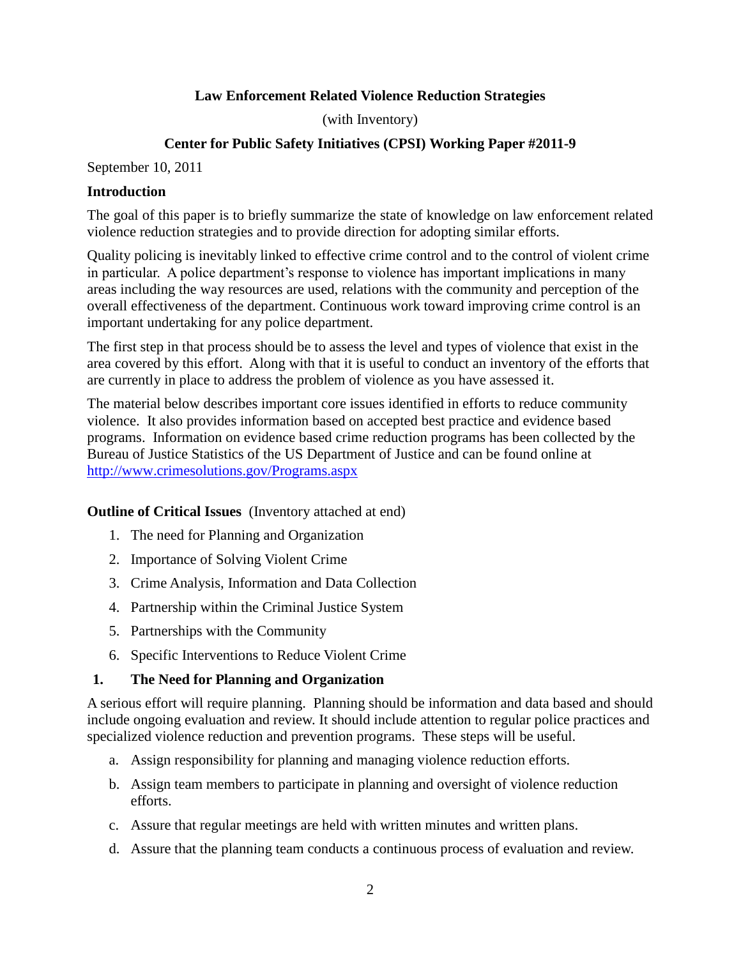## **Law Enforcement Related Violence Reduction Strategies**

(with Inventory)

## **Center for Public Safety Initiatives (CPSI) Working Paper #2011-9**

September 10, 2011

#### **Introduction**

The goal of this paper is to briefly summarize the state of knowledge on law enforcement related violence reduction strategies and to provide direction for adopting similar efforts.

Quality policing is inevitably linked to effective crime control and to the control of violent crime in particular. A police department's response to violence has important implications in many areas including the way resources are used, relations with the community and perception of the overall effectiveness of the department. Continuous work toward improving crime control is an important undertaking for any police department.

The first step in that process should be to assess the level and types of violence that exist in the area covered by this effort. Along with that it is useful to conduct an inventory of the efforts that are currently in place to address the problem of violence as you have assessed it.

The material below describes important core issues identified in efforts to reduce community violence. It also provides information based on accepted best practice and evidence based programs. Information on evidence based crime reduction programs has been collected by the Bureau of Justice Statistics of the US Department of Justice and can be found online at <http://www.crimesolutions.gov/Programs.aspx>

**Outline of Critical Issues** (Inventory attached at end)

- 1. The need for Planning and Organization
- 2. Importance of Solving Violent Crime
- 3. Crime Analysis, Information and Data Collection
- 4. Partnership within the Criminal Justice System
- 5. Partnerships with the Community
- 6. Specific Interventions to Reduce Violent Crime

#### **1. The Need for Planning and Organization**

A serious effort will require planning. Planning should be information and data based and should include ongoing evaluation and review. It should include attention to regular police practices and specialized violence reduction and prevention programs. These steps will be useful.

- a. Assign responsibility for planning and managing violence reduction efforts.
- b. Assign team members to participate in planning and oversight of violence reduction efforts.
- c. Assure that regular meetings are held with written minutes and written plans.
- d. Assure that the planning team conducts a continuous process of evaluation and review.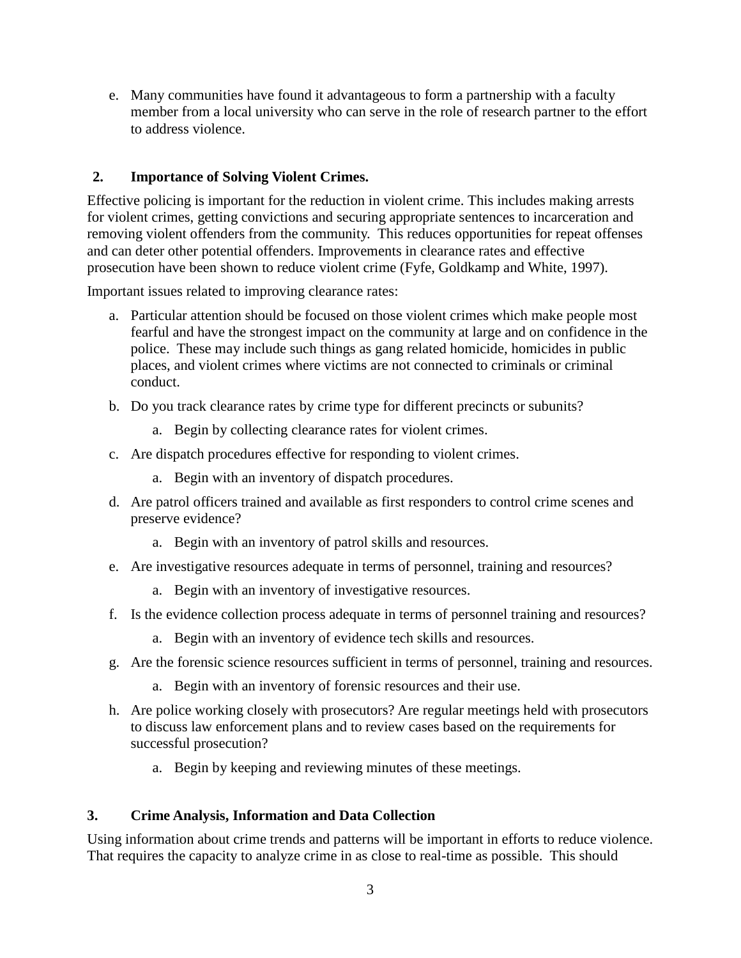e. Many communities have found it advantageous to form a partnership with a faculty member from a local university who can serve in the role of research partner to the effort to address violence.

## **2. Importance of Solving Violent Crimes.**

Effective policing is important for the reduction in violent crime. This includes making arrests for violent crimes, getting convictions and securing appropriate sentences to incarceration and removing violent offenders from the community. This reduces opportunities for repeat offenses and can deter other potential offenders. Improvements in clearance rates and effective prosecution have been shown to reduce violent crime (Fyfe, Goldkamp and White, 1997).

Important issues related to improving clearance rates:

- a. Particular attention should be focused on those violent crimes which make people most fearful and have the strongest impact on the community at large and on confidence in the police. These may include such things as gang related homicide, homicides in public places, and violent crimes where victims are not connected to criminals or criminal conduct.
- b. Do you track clearance rates by crime type for different precincts or subunits?
	- a. Begin by collecting clearance rates for violent crimes.
- c. Are dispatch procedures effective for responding to violent crimes.
	- a. Begin with an inventory of dispatch procedures.
- d. Are patrol officers trained and available as first responders to control crime scenes and preserve evidence?
	- a. Begin with an inventory of patrol skills and resources.
- e. Are investigative resources adequate in terms of personnel, training and resources?
	- a. Begin with an inventory of investigative resources.
- f. Is the evidence collection process adequate in terms of personnel training and resources?
	- a. Begin with an inventory of evidence tech skills and resources.
- g. Are the forensic science resources sufficient in terms of personnel, training and resources.
	- a. Begin with an inventory of forensic resources and their use.
- h. Are police working closely with prosecutors? Are regular meetings held with prosecutors to discuss law enforcement plans and to review cases based on the requirements for successful prosecution?
	- a. Begin by keeping and reviewing minutes of these meetings.

## **3. Crime Analysis, Information and Data Collection**

Using information about crime trends and patterns will be important in efforts to reduce violence. That requires the capacity to analyze crime in as close to real-time as possible. This should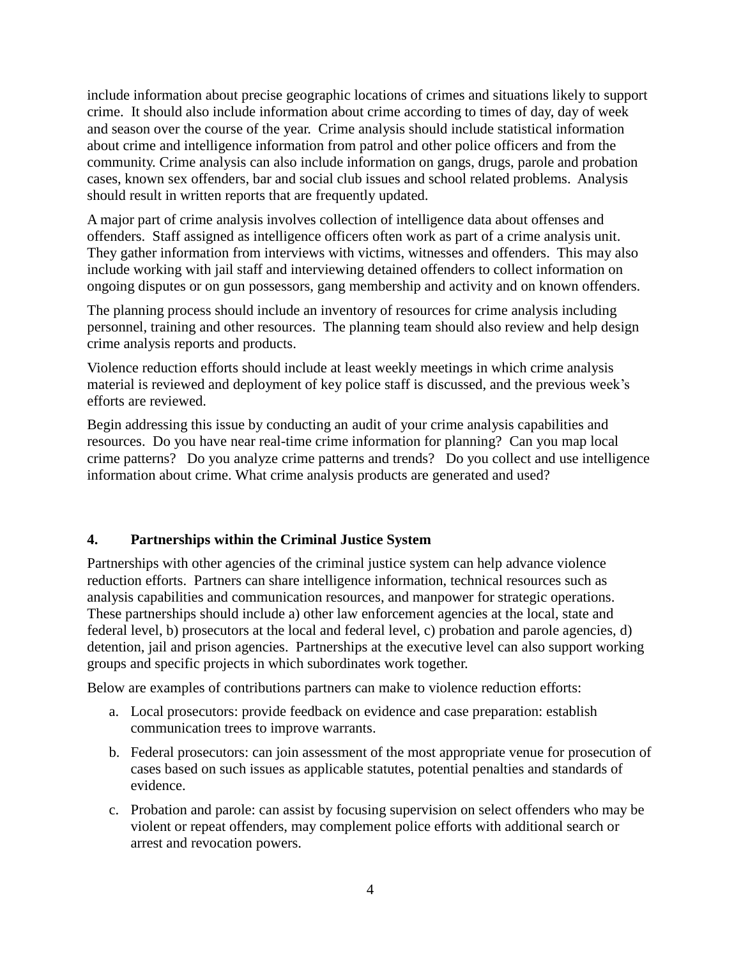include information about precise geographic locations of crimes and situations likely to support crime. It should also include information about crime according to times of day, day of week and season over the course of the year. Crime analysis should include statistical information about crime and intelligence information from patrol and other police officers and from the community. Crime analysis can also include information on gangs, drugs, parole and probation cases, known sex offenders, bar and social club issues and school related problems. Analysis should result in written reports that are frequently updated.

A major part of crime analysis involves collection of intelligence data about offenses and offenders. Staff assigned as intelligence officers often work as part of a crime analysis unit. They gather information from interviews with victims, witnesses and offenders. This may also include working with jail staff and interviewing detained offenders to collect information on ongoing disputes or on gun possessors, gang membership and activity and on known offenders.

The planning process should include an inventory of resources for crime analysis including personnel, training and other resources. The planning team should also review and help design crime analysis reports and products.

Violence reduction efforts should include at least weekly meetings in which crime analysis material is reviewed and deployment of key police staff is discussed, and the previous week's efforts are reviewed.

Begin addressing this issue by conducting an audit of your crime analysis capabilities and resources. Do you have near real-time crime information for planning? Can you map local crime patterns? Do you analyze crime patterns and trends? Do you collect and use intelligence information about crime. What crime analysis products are generated and used?

## **4. Partnerships within the Criminal Justice System**

Partnerships with other agencies of the criminal justice system can help advance violence reduction efforts. Partners can share intelligence information, technical resources such as analysis capabilities and communication resources, and manpower for strategic operations. These partnerships should include a) other law enforcement agencies at the local, state and federal level, b) prosecutors at the local and federal level, c) probation and parole agencies, d) detention, jail and prison agencies. Partnerships at the executive level can also support working groups and specific projects in which subordinates work together.

Below are examples of contributions partners can make to violence reduction efforts:

- a. Local prosecutors: provide feedback on evidence and case preparation: establish communication trees to improve warrants.
- b. Federal prosecutors: can join assessment of the most appropriate venue for prosecution of cases based on such issues as applicable statutes, potential penalties and standards of evidence.
- c. Probation and parole: can assist by focusing supervision on select offenders who may be violent or repeat offenders, may complement police efforts with additional search or arrest and revocation powers.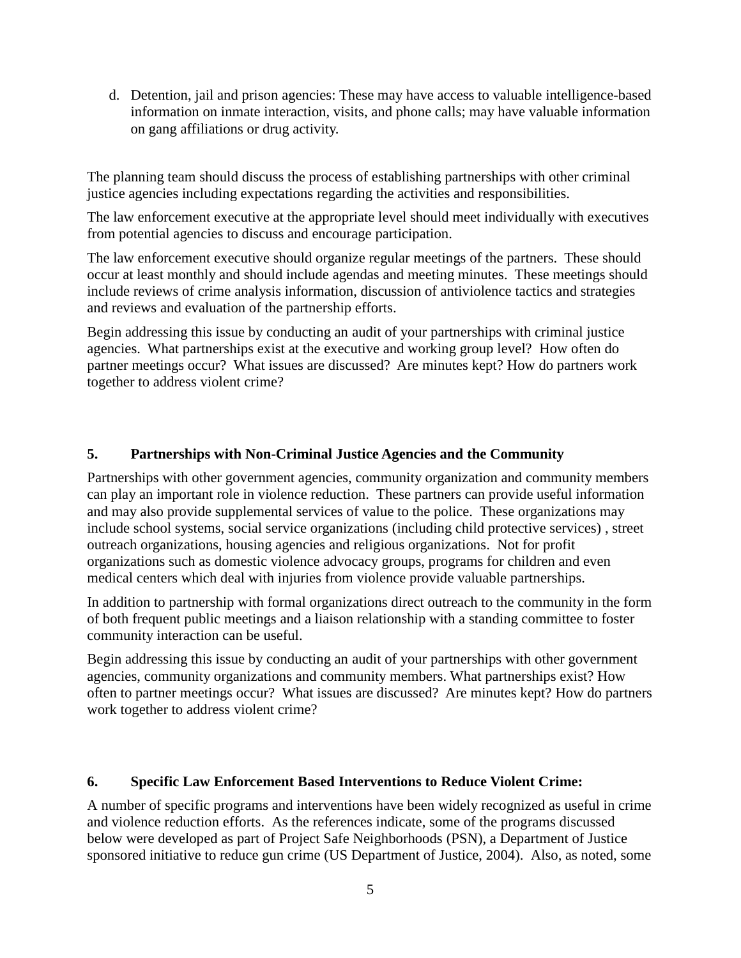d. Detention, jail and prison agencies: These may have access to valuable intelligence-based information on inmate interaction, visits, and phone calls; may have valuable information on gang affiliations or drug activity.

The planning team should discuss the process of establishing partnerships with other criminal justice agencies including expectations regarding the activities and responsibilities.

The law enforcement executive at the appropriate level should meet individually with executives from potential agencies to discuss and encourage participation.

The law enforcement executive should organize regular meetings of the partners. These should occur at least monthly and should include agendas and meeting minutes. These meetings should include reviews of crime analysis information, discussion of antiviolence tactics and strategies and reviews and evaluation of the partnership efforts.

Begin addressing this issue by conducting an audit of your partnerships with criminal justice agencies. What partnerships exist at the executive and working group level? How often do partner meetings occur? What issues are discussed? Are minutes kept? How do partners work together to address violent crime?

## **5. Partnerships with Non-Criminal Justice Agencies and the Community**

Partnerships with other government agencies, community organization and community members can play an important role in violence reduction. These partners can provide useful information and may also provide supplemental services of value to the police. These organizations may include school systems, social service organizations (including child protective services) , street outreach organizations, housing agencies and religious organizations. Not for profit organizations such as domestic violence advocacy groups, programs for children and even medical centers which deal with injuries from violence provide valuable partnerships.

In addition to partnership with formal organizations direct outreach to the community in the form of both frequent public meetings and a liaison relationship with a standing committee to foster community interaction can be useful.

Begin addressing this issue by conducting an audit of your partnerships with other government agencies, community organizations and community members. What partnerships exist? How often to partner meetings occur? What issues are discussed? Are minutes kept? How do partners work together to address violent crime?

#### **6. Specific Law Enforcement Based Interventions to Reduce Violent Crime:**

A number of specific programs and interventions have been widely recognized as useful in crime and violence reduction efforts. As the references indicate, some of the programs discussed below were developed as part of Project Safe Neighborhoods (PSN), a Department of Justice sponsored initiative to reduce gun crime (US Department of Justice, 2004). Also, as noted, some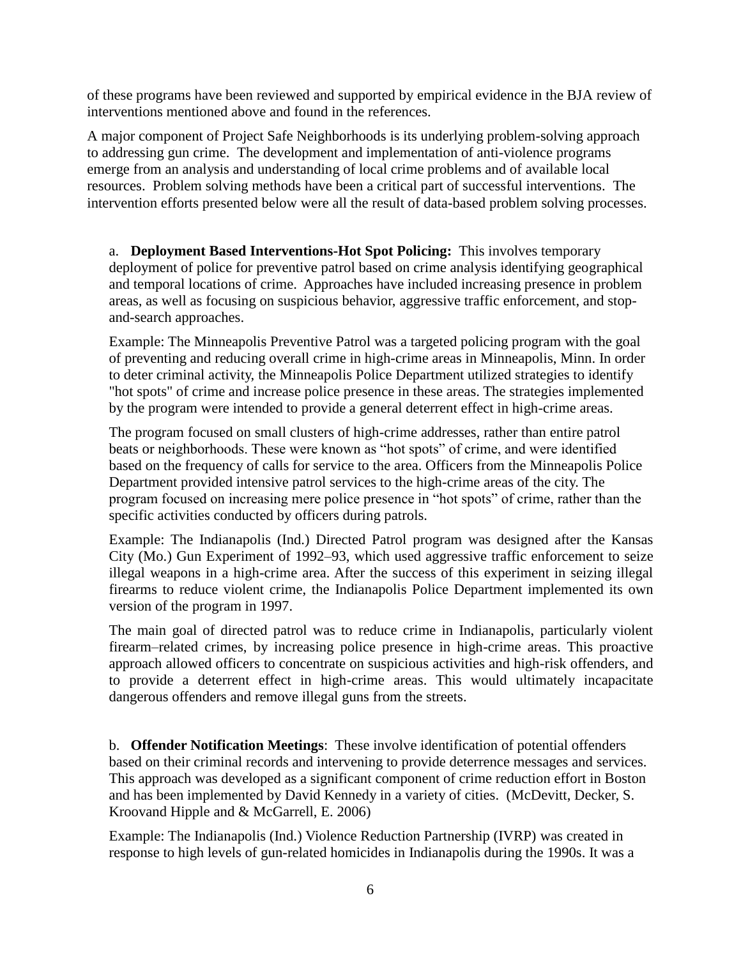of these programs have been reviewed and supported by empirical evidence in the BJA review of interventions mentioned above and found in the references.

A major component of Project Safe Neighborhoods is its underlying problem-solving approach to addressing gun crime. The development and implementation of anti-violence programs emerge from an analysis and understanding of local crime problems and of available local resources. Problem solving methods have been a critical part of successful interventions. The intervention efforts presented below were all the result of data-based problem solving processes.

a. **Deployment Based Interventions-Hot Spot Policing:** This involves temporary deployment of police for preventive patrol based on crime analysis identifying geographical and temporal locations of crime. Approaches have included increasing presence in problem areas, as well as focusing on suspicious behavior, aggressive traffic enforcement, and stopand-search approaches.

Example: The Minneapolis Preventive Patrol was a targeted policing program with the goal of preventing and reducing overall crime in high-crime areas in Minneapolis, Minn. In order to deter criminal activity, the Minneapolis Police Department utilized strategies to identify "hot spots" of crime and increase police presence in these areas. The strategies implemented by the program were intended to provide a general deterrent effect in high-crime areas.

The program focused on small clusters of high-crime addresses, rather than entire patrol beats or neighborhoods. These were known as "hot spots" of crime, and were identified based on the frequency of calls for service to the area. Officers from the Minneapolis Police Department provided intensive patrol services to the high-crime areas of the city. The program focused on increasing mere police presence in "hot spots" of crime, rather than the specific activities conducted by officers during patrols.

Example: The Indianapolis (Ind.) Directed Patrol program was designed after the Kansas City (Mo.) Gun Experiment of 1992–93, which used aggressive traffic enforcement to seize illegal weapons in a high-crime area. After the success of this experiment in seizing illegal firearms to reduce violent crime, the Indianapolis Police Department implemented its own version of the program in 1997.

The main goal of directed patrol was to reduce crime in Indianapolis, particularly violent firearm–related crimes, by increasing police presence in high-crime areas. This proactive approach allowed officers to concentrate on suspicious activities and high-risk offenders, and to provide a deterrent effect in high-crime areas. This would ultimately incapacitate dangerous offenders and remove illegal guns from the streets.

b. **Offender Notification Meetings**: These involve identification of potential offenders based on their criminal records and intervening to provide deterrence messages and services. This approach was developed as a significant component of crime reduction effort in Boston and has been implemented by David Kennedy in a variety of cities. (McDevitt, Decker, S. Kroovand Hipple and & McGarrell, E. 2006)

Example: The Indianapolis (Ind.) Violence Reduction Partnership (IVRP) was created in response to high levels of gun-related homicides in Indianapolis during the 1990s. It was a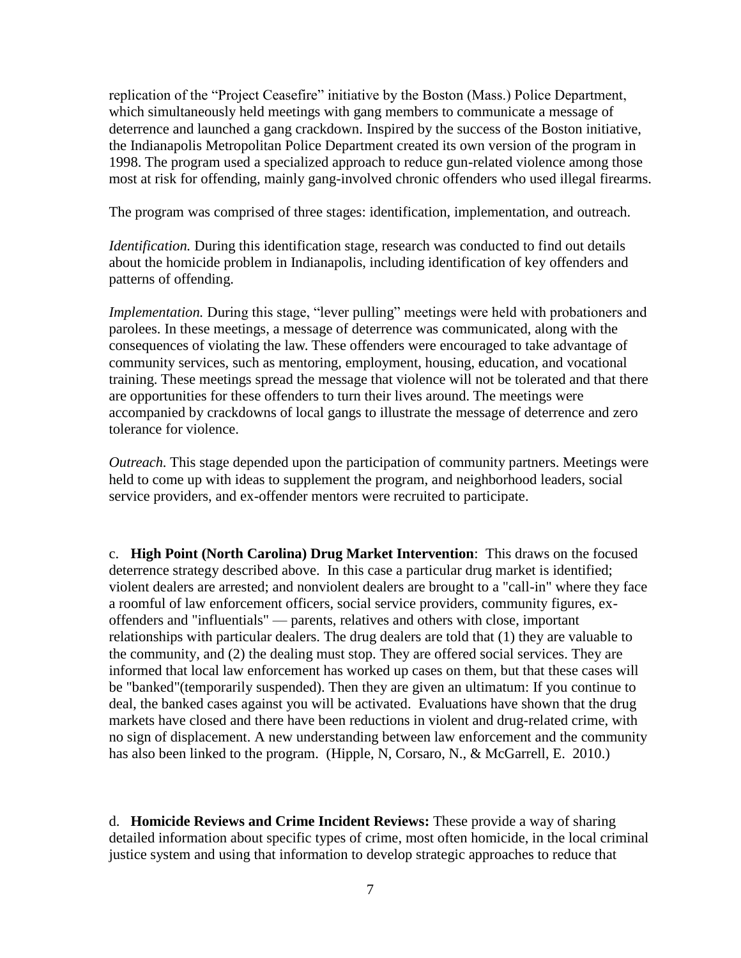replication of the "Project Ceasefire" initiative by the Boston (Mass.) Police Department, which simultaneously held meetings with gang members to communicate a message of deterrence and launched a gang crackdown. Inspired by the success of the Boston initiative, the Indianapolis Metropolitan Police Department created its own version of the program in 1998. The program used a specialized approach to reduce gun-related violence among those most at risk for offending, mainly gang-involved chronic offenders who used illegal firearms.

The program was comprised of three stages: identification, implementation, and outreach.

*Identification.* During this identification stage, research was conducted to find out details about the homicide problem in Indianapolis, including identification of key offenders and patterns of offending.

*Implementation*. During this stage, "lever pulling" meetings were held with probationers and parolees. In these meetings, a message of deterrence was communicated, along with the consequences of violating the law. These offenders were encouraged to take advantage of community services, such as mentoring, employment, housing, education, and vocational training. These meetings spread the message that violence will not be tolerated and that there are opportunities for these offenders to turn their lives around. The meetings were accompanied by crackdowns of local gangs to illustrate the message of deterrence and zero tolerance for violence.

*Outreach.* This stage depended upon the participation of community partners. Meetings were held to come up with ideas to supplement the program, and neighborhood leaders, social service providers, and ex-offender mentors were recruited to participate.

c. **High Point (North Carolina) Drug Market Intervention**: This draws on the focused deterrence strategy described above. In this case a particular drug market is identified; violent dealers are arrested; and nonviolent dealers are brought to a "call-in" where they face a roomful of law enforcement officers, social service providers, community figures, exoffenders and "influentials" — parents, relatives and others with close, important relationships with particular dealers. The drug dealers are told that (1) they are valuable to the community, and (2) the dealing must stop. They are offered social services. They are informed that local law enforcement has worked up cases on them, but that these cases will be "banked"(temporarily suspended). Then they are given an ultimatum: If you continue to deal, the banked cases against you will be activated. Evaluations have shown that the drug markets have closed and there have been reductions in violent and drug-related crime, with no sign of displacement. A new understanding between law enforcement and the community has also been linked to the program. (Hipple, N, Corsaro, N., & McGarrell, E. 2010.)

d. **Homicide Reviews and Crime Incident Reviews:** These provide a way of sharing detailed information about specific types of crime, most often homicide, in the local criminal justice system and using that information to develop strategic approaches to reduce that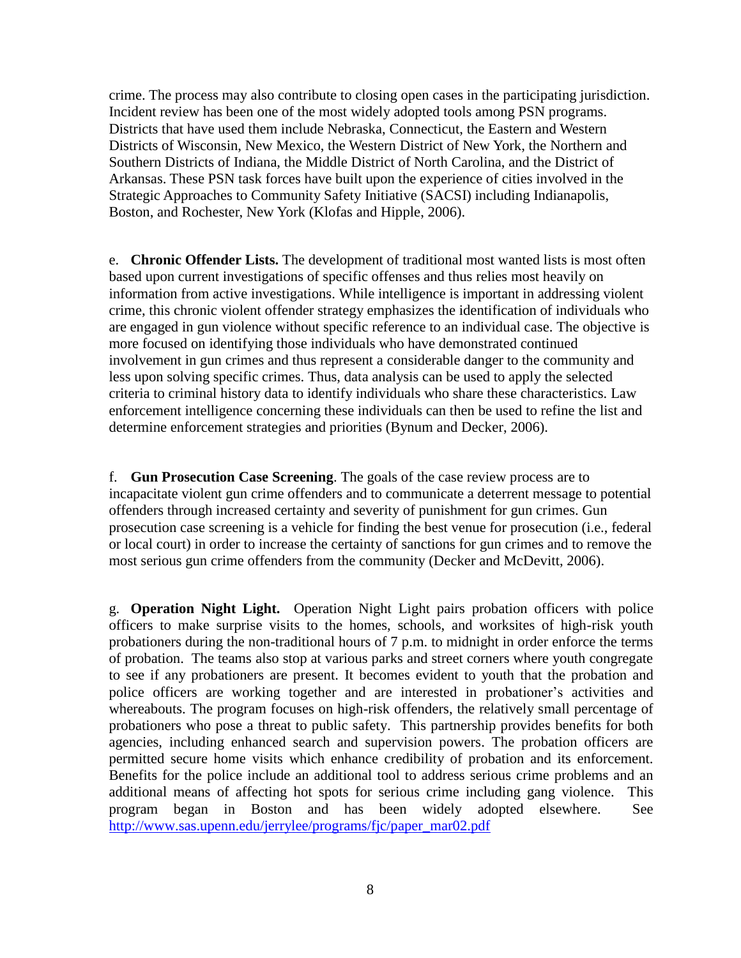crime. The process may also contribute to closing open cases in the participating jurisdiction. Incident review has been one of the most widely adopted tools among PSN programs. Districts that have used them include Nebraska, Connecticut, the Eastern and Western Districts of Wisconsin, New Mexico, the Western District of New York, the Northern and Southern Districts of Indiana, the Middle District of North Carolina, and the District of Arkansas. These PSN task forces have built upon the experience of cities involved in the Strategic Approaches to Community Safety Initiative (SACSI) including Indianapolis, Boston, and Rochester, New York (Klofas and Hipple, 2006).

e. **Chronic Offender Lists.** The development of traditional most wanted lists is most often based upon current investigations of specific offenses and thus relies most heavily on information from active investigations. While intelligence is important in addressing violent crime, this chronic violent offender strategy emphasizes the identification of individuals who are engaged in gun violence without specific reference to an individual case. The objective is more focused on identifying those individuals who have demonstrated continued involvement in gun crimes and thus represent a considerable danger to the community and less upon solving specific crimes. Thus, data analysis can be used to apply the selected criteria to criminal history data to identify individuals who share these characteristics. Law enforcement intelligence concerning these individuals can then be used to refine the list and determine enforcement strategies and priorities (Bynum and Decker, 2006).

f. **Gun Prosecution Case Screening**. The goals of the case review process are to incapacitate violent gun crime offenders and to communicate a deterrent message to potential offenders through increased certainty and severity of punishment for gun crimes. Gun prosecution case screening is a vehicle for finding the best venue for prosecution (i.e., federal or local court) in order to increase the certainty of sanctions for gun crimes and to remove the most serious gun crime offenders from the community (Decker and McDevitt, 2006).

g. **Operation Night Light.** Operation Night Light pairs probation officers with police officers to make surprise visits to the homes, schools, and worksites of high-risk youth probationers during the non-traditional hours of 7 p.m. to midnight in order enforce the terms of probation. The teams also stop at various parks and street corners where youth congregate to see if any probationers are present. It becomes evident to youth that the probation and police officers are working together and are interested in probationer's activities and whereabouts. The program focuses on high-risk offenders, the relatively small percentage of probationers who pose a threat to public safety. This partnership provides benefits for both agencies, including enhanced search and supervision powers. The probation officers are permitted secure home visits which enhance credibility of probation and its enforcement. Benefits for the police include an additional tool to address serious crime problems and an additional means of affecting hot spots for serious crime including gang violence. This program began in Boston and has been widely adopted elsewhere. See http://www.sas.upenn.edu/jerrylee/programs/fjc/paper\_mar02.pdf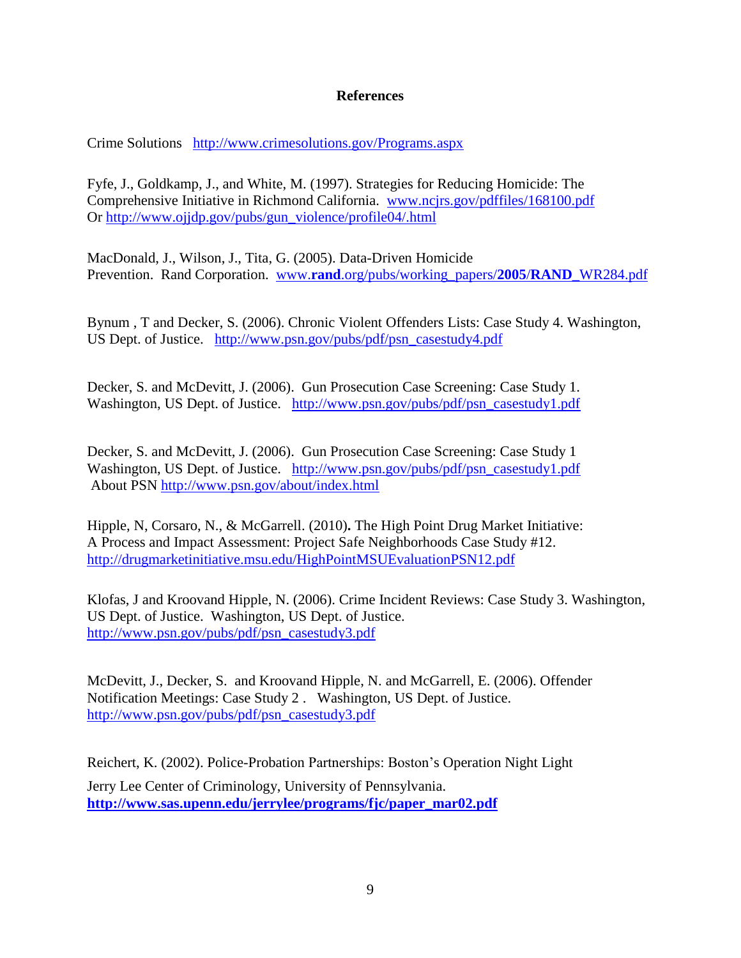### **References**

Crime Solutions <http://www.crimesolutions.gov/Programs.aspx>

Fyfe, J., Goldkamp, J., and White, M. (1997). Strategies for Reducing Homicide: The Comprehensive Initiative in Richmond California. [www.ncjrs.gov/pdffiles/168100.pdf](http://www.ncjrs.gov/pdffiles/168100.pdf) Or [http://www.ojjdp.gov/pubs/gun\\_violence/profile04/.html](http://www.ojjdp.gov/pubs/gun_violence/profile04/.html)

MacDonald, J., Wilson, J., Tita, G. (2005). Data-Driven Homicide Prevention. Rand Corporation. www.**rand**[.org/pubs/working\\_papers/](http://www.rand.org/pubs/working_papers/2005/RAND_WR284.pdf)**2005**/**RAND**\_WR284.pdf

Bynum , T and Decker, S. (2006). Chronic Violent Offenders Lists: Case Study 4. Washington, US Dept. of Justice. [http://www.psn.gov/pubs/pdf/psn\\_casestudy4.pdf](http://www.psn.gov/pubs/pdf/psn_casestudy4.pdf)

Decker, S. and McDevitt, J. (2006). Gun Prosecution Case Screening: Case Study 1. Washington, US Dept. of Justice. [http://www.psn.gov/pubs/pdf/psn\\_casestudy1.pdf](http://www.psn.gov/pubs/pdf/psn_casestudy1.pdf)

Decker, S. and McDevitt, J. (2006). Gun Prosecution Case Screening: Case Study 1 Washington, US Dept. of Justice. [http://www.psn.gov/pubs/pdf/psn\\_casestudy1.pdf](http://www.psn.gov/pubs/pdf/psn_casestudy1.pdf) About PSN<http://www.psn.gov/about/index.html>

Hipple, N, Corsaro, N., & McGarrell. (2010)**.** The High Point Drug Market Initiative: A Process and Impact Assessment: Project Safe Neighborhoods Case Study #12. <http://drugmarketinitiative.msu.edu/HighPointMSUEvaluationPSN12.pdf>

Klofas, J and Kroovand Hipple, N. (2006). Crime Incident Reviews: Case Study 3. Washington, US Dept. of Justice. Washington, US Dept. of Justice. [http://www.psn.gov/pubs/pdf/psn\\_casestudy3.pdf](http://www.psn.gov/pubs/pdf/psn_casestudy3.pdf)

McDevitt, J., Decker, S. and Kroovand Hipple, N. and McGarrell, E. (2006). Offender Notification Meetings: Case Study 2 . Washington, US Dept. of Justice. [http://www.psn.gov/pubs/pdf/psn\\_casestudy3.pdf](http://www.psn.gov/pubs/pdf/psn_casestudy3.pdf)

Reichert, K. (2002). Police-Probation Partnerships: Boston's Operation Night Light Jerry Lee Center of Criminology, University of Pennsylvania. **[http://www.sas.upenn.edu/jerrylee/programs/fjc/paper\\_mar02.pdf](http://www.sas.upenn.edu/jerrylee/programs/fjc/paper_mar02.pdf)**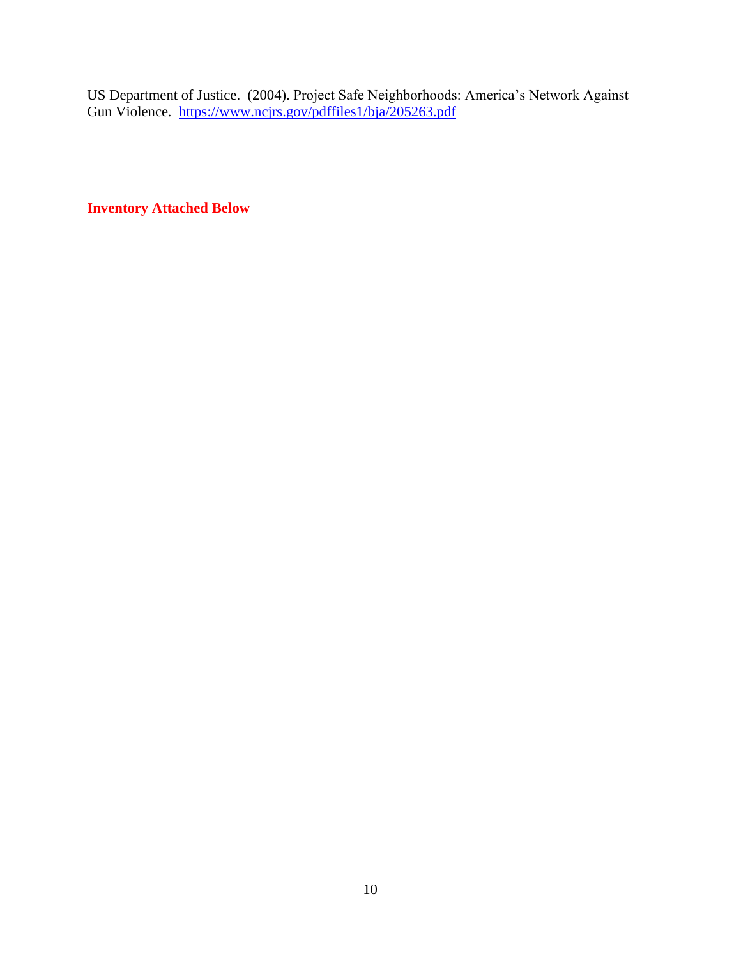US Department of Justice. (2004). Project Safe Neighborhoods: America's Network Against Gun Violence. <https://www.ncjrs.gov/pdffiles1/bja/205263.pdf>

**Inventory Attached Below**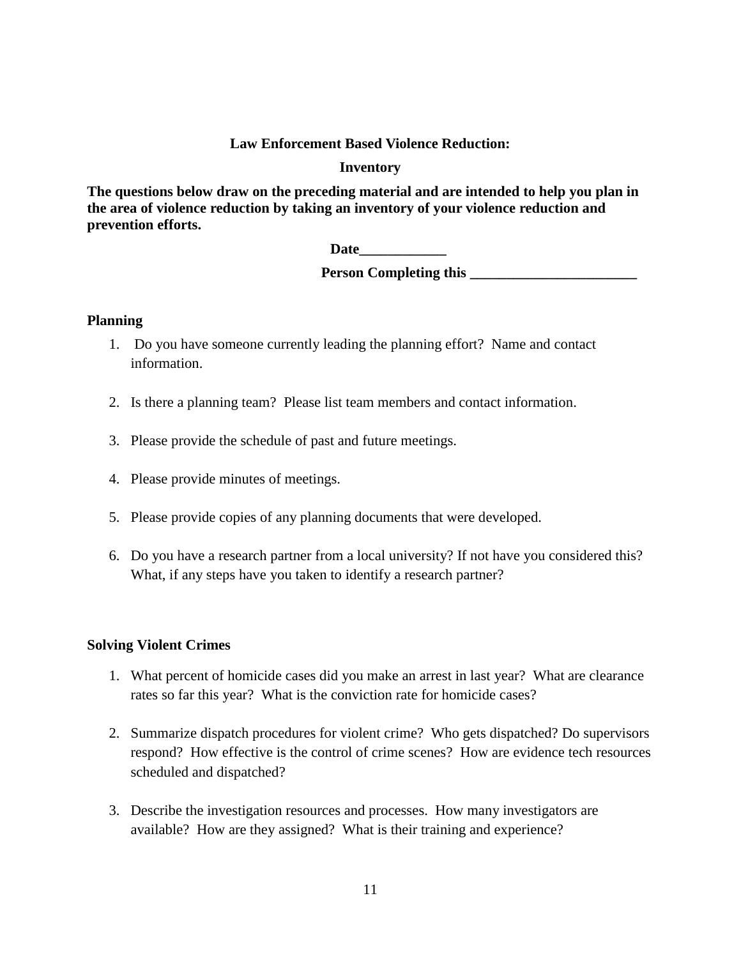#### **Law Enforcement Based Violence Reduction:**

#### **Inventory**

**The questions below draw on the preceding material and are intended to help you plan in the area of violence reduction by taking an inventory of your violence reduction and prevention efforts.** 

 **Date\_\_\_\_\_\_\_\_\_\_\_\_**

 **Person Completing this \_\_\_\_\_\_\_\_\_\_\_\_\_\_\_\_\_\_\_\_\_\_\_**

#### **Planning**

- 1. Do you have someone currently leading the planning effort? Name and contact information.
- 2. Is there a planning team? Please list team members and contact information.
- 3. Please provide the schedule of past and future meetings.
- 4. Please provide minutes of meetings.
- 5. Please provide copies of any planning documents that were developed.
- 6. Do you have a research partner from a local university? If not have you considered this? What, if any steps have you taken to identify a research partner?

#### **Solving Violent Crimes**

- 1. What percent of homicide cases did you make an arrest in last year? What are clearance rates so far this year? What is the conviction rate for homicide cases?
- 2. Summarize dispatch procedures for violent crime? Who gets dispatched? Do supervisors respond? How effective is the control of crime scenes? How are evidence tech resources scheduled and dispatched?
- 3. Describe the investigation resources and processes. How many investigators are available? How are they assigned? What is their training and experience?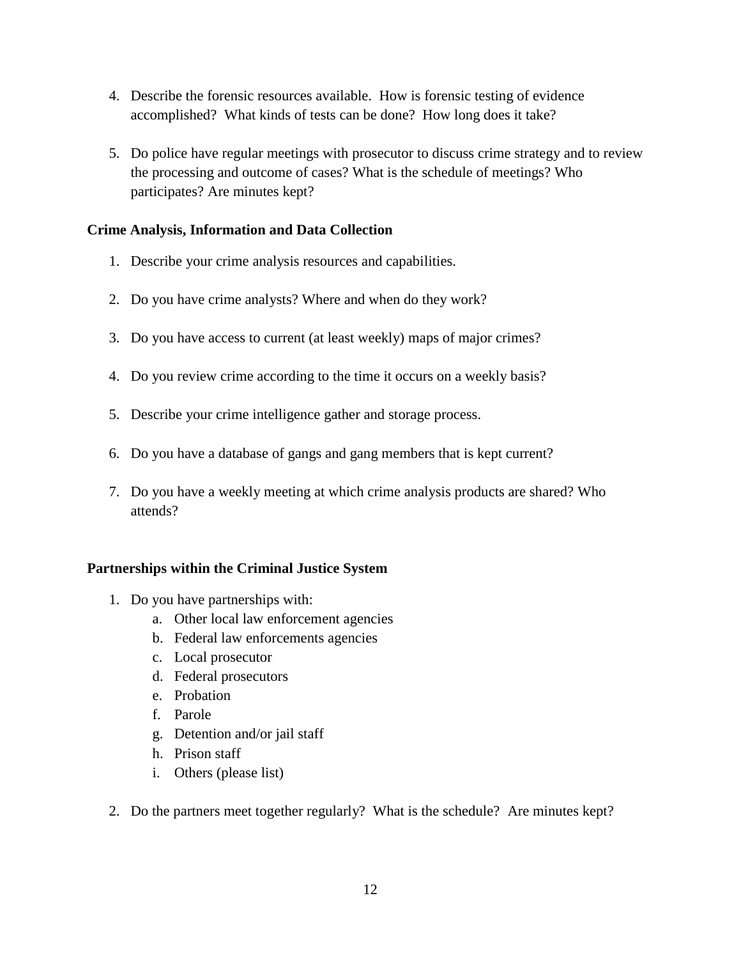- 4. Describe the forensic resources available. How is forensic testing of evidence accomplished? What kinds of tests can be done? How long does it take?
- 5. Do police have regular meetings with prosecutor to discuss crime strategy and to review the processing and outcome of cases? What is the schedule of meetings? Who participates? Are minutes kept?

## **Crime Analysis, Information and Data Collection**

- 1. Describe your crime analysis resources and capabilities.
- 2. Do you have crime analysts? Where and when do they work?
- 3. Do you have access to current (at least weekly) maps of major crimes?
- 4. Do you review crime according to the time it occurs on a weekly basis?
- 5. Describe your crime intelligence gather and storage process.
- 6. Do you have a database of gangs and gang members that is kept current?
- 7. Do you have a weekly meeting at which crime analysis products are shared? Who attends?

#### **Partnerships within the Criminal Justice System**

- 1. Do you have partnerships with:
	- a. Other local law enforcement agencies
	- b. Federal law enforcements agencies
	- c. Local prosecutor
	- d. Federal prosecutors
	- e. Probation
	- f. Parole
	- g. Detention and/or jail staff
	- h. Prison staff
	- i. Others (please list)
- 2. Do the partners meet together regularly? What is the schedule? Are minutes kept?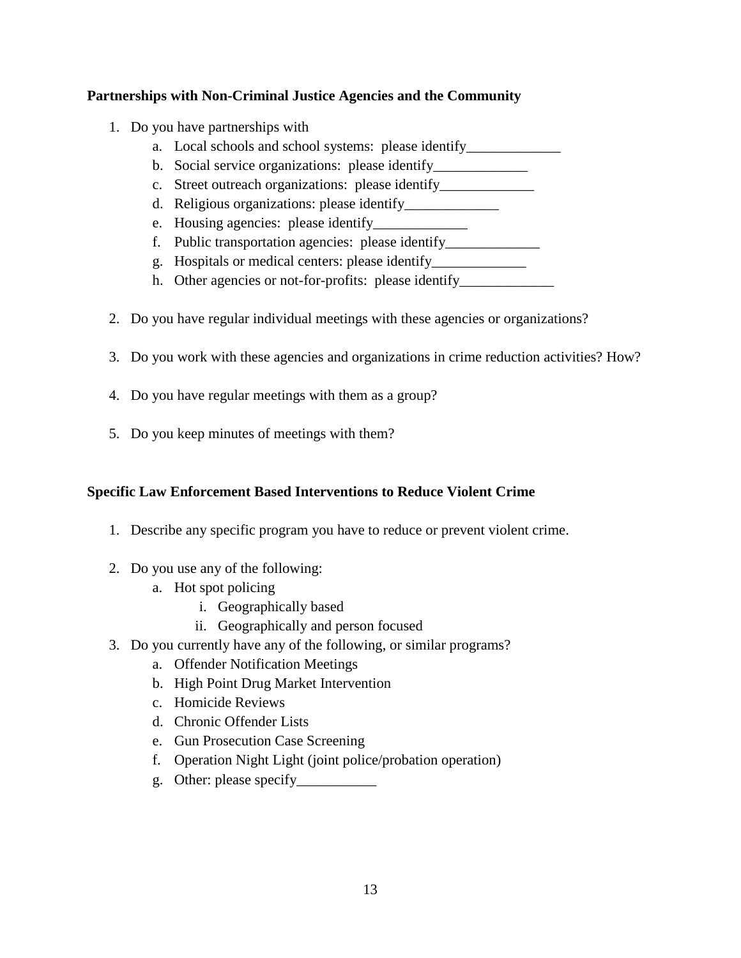## **Partnerships with Non-Criminal Justice Agencies and the Community**

- 1. Do you have partnerships with
	- a. Local schools and school systems: please identify
	- b. Social service organizations: please identify
	- c. Street outreach organizations: please identify\_\_\_\_\_\_\_\_\_\_\_\_\_\_\_\_\_\_\_\_\_\_\_\_\_\_\_\_\_\_\_\_
	- d. Religious organizations: please identify\_\_\_\_\_\_\_\_\_\_\_\_\_
	- e. Housing agencies: please identify\_\_\_\_\_\_\_\_\_\_\_\_\_
	- f. Public transportation agencies: please identify\_\_\_\_\_\_\_\_\_\_\_\_\_
	- g. Hospitals or medical centers: please identify\_\_\_\_\_\_\_\_\_\_\_\_\_
	- h. Other agencies or not-for-profits: please identify
- 2. Do you have regular individual meetings with these agencies or organizations?
- 3. Do you work with these agencies and organizations in crime reduction activities? How?
- 4. Do you have regular meetings with them as a group?
- 5. Do you keep minutes of meetings with them?

## **Specific Law Enforcement Based Interventions to Reduce Violent Crime**

- 1. Describe any specific program you have to reduce or prevent violent crime.
- 2. Do you use any of the following:
	- a. Hot spot policing
		- i. Geographically based
		- ii. Geographically and person focused
- 3. Do you currently have any of the following, or similar programs?
	- a. Offender Notification Meetings
	- b. High Point Drug Market Intervention
	- c. Homicide Reviews
	- d. Chronic Offender Lists
	- e. Gun Prosecution Case Screening
	- f. Operation Night Light (joint police/probation operation)
	- g. Other: please specify\_\_\_\_\_\_\_\_\_\_\_